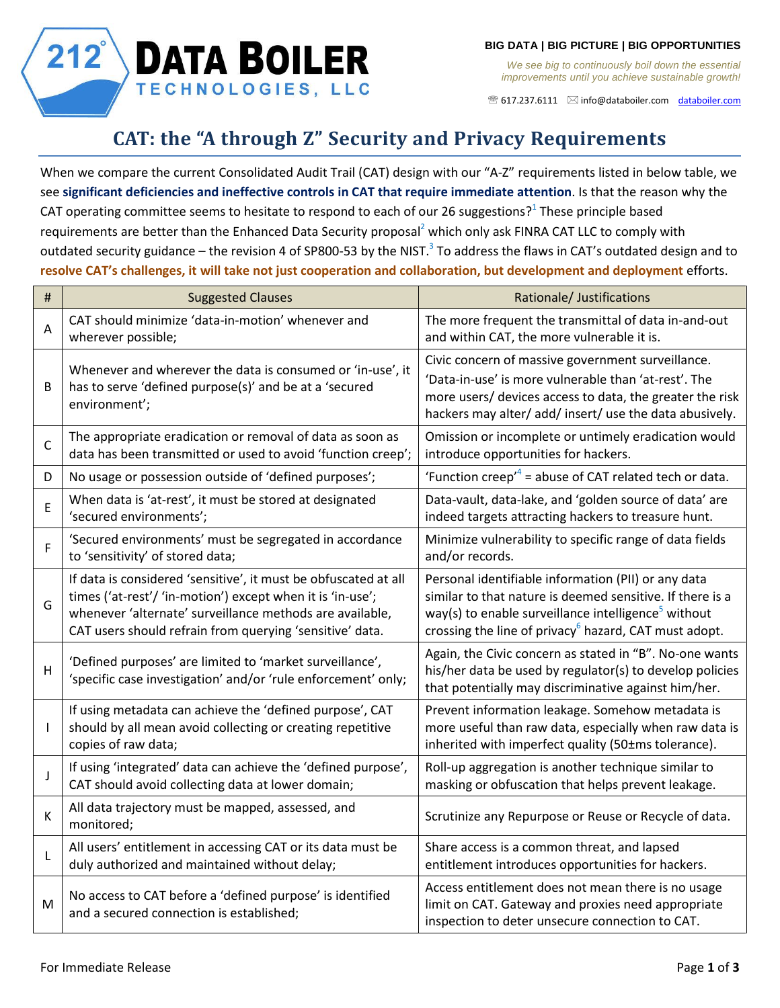

*We see big to continuously boil down the essential improvements until you achieve sustainable growth!*

617.237.6111 [info@databoiler.com](mailto:info@databoiler.com) [databoiler.com](http://www.databoiler.com/)

## **CAT: the "A through Z" Security and Privacy Requirements**

**DATA BOILER** 

TECHNOLOGIES, LLC

When we compare the current Consolidated Audit Trail (CAT) design with our "A-Z" requirements listed in below table, we see **significant deficiencies and ineffective controls in CAT that require immediate attention**. Is that the reason why the CAT operating committee seems to hesitate to respond to each of our 26 suggestions?<sup>1</sup> These principle based requirements are better than the Enhanced Data Security proposal<sup>2</sup> which only ask FINRA CAT LLC to comply with outdated security guidance – the revision 4 of SP800-53 by the NIST.<sup>3</sup> To address the flaws in CAT's outdated design and to **resolve CAT's challenges, it will take not just cooperation and collaboration, but development and deployment** efforts.

| $\sharp$     | <b>Suggested Clauses</b>                                                                                                                                                                                                                              | Rationale/ Justifications                                                                                                                                                                                                                                |
|--------------|-------------------------------------------------------------------------------------------------------------------------------------------------------------------------------------------------------------------------------------------------------|----------------------------------------------------------------------------------------------------------------------------------------------------------------------------------------------------------------------------------------------------------|
| A            | CAT should minimize 'data-in-motion' whenever and<br>wherever possible;                                                                                                                                                                               | The more frequent the transmittal of data in-and-out<br>and within CAT, the more vulnerable it is.                                                                                                                                                       |
| B            | Whenever and wherever the data is consumed or 'in-use', it<br>has to serve 'defined purpose(s)' and be at a 'secured<br>environment';                                                                                                                 | Civic concern of massive government surveillance.<br>'Data-in-use' is more vulnerable than 'at-rest'. The<br>more users/ devices access to data, the greater the risk<br>hackers may alter/ add/ insert/ use the data abusively.                         |
| $\mathsf C$  | The appropriate eradication or removal of data as soon as<br>data has been transmitted or used to avoid 'function creep';                                                                                                                             | Omission or incomplete or untimely eradication would<br>introduce opportunities for hackers.                                                                                                                                                             |
| D            | No usage or possession outside of 'defined purposes';                                                                                                                                                                                                 | 'Function creep' <sup>4</sup> = abuse of CAT related tech or data.                                                                                                                                                                                       |
| E            | When data is 'at-rest', it must be stored at designated<br>'secured environments';                                                                                                                                                                    | Data-vault, data-lake, and 'golden source of data' are<br>indeed targets attracting hackers to treasure hunt.                                                                                                                                            |
| F            | 'Secured environments' must be segregated in accordance<br>to 'sensitivity' of stored data;                                                                                                                                                           | Minimize vulnerability to specific range of data fields<br>and/or records.                                                                                                                                                                               |
| G            | If data is considered 'sensitive', it must be obfuscated at all<br>times ('at-rest'/ 'in-motion') except when it is 'in-use';<br>whenever 'alternate' surveillance methods are available,<br>CAT users should refrain from querying 'sensitive' data. | Personal identifiable information (PII) or any data<br>similar to that nature is deemed sensitive. If there is a<br>way(s) to enable surveillance intelligence <sup>5</sup> without<br>crossing the line of privacy <sup>6</sup> hazard, CAT must adopt. |
| H            | 'Defined purposes' are limited to 'market surveillance',<br>'specific case investigation' and/or 'rule enforcement' only;                                                                                                                             | Again, the Civic concern as stated in "B". No-one wants<br>his/her data be used by regulator(s) to develop policies<br>that potentially may discriminative against him/her.                                                                              |
| T            | If using metadata can achieve the 'defined purpose', CAT<br>should by all mean avoid collecting or creating repetitive<br>copies of raw data;                                                                                                         | Prevent information leakage. Somehow metadata is<br>more useful than raw data, especially when raw data is<br>inherited with imperfect quality (50±ms tolerance).                                                                                        |
| J            | If using 'integrated' data can achieve the 'defined purpose',<br>CAT should avoid collecting data at lower domain;                                                                                                                                    | Roll-up aggregation is another technique similar to<br>masking or obfuscation that helps prevent leakage.                                                                                                                                                |
| К            | All data trajectory must be mapped, assessed, and<br>monitored;                                                                                                                                                                                       | Scrutinize any Repurpose or Reuse or Recycle of data.                                                                                                                                                                                                    |
| $\mathsf{L}$ | All users' entitlement in accessing CAT or its data must be<br>duly authorized and maintained without delay;                                                                                                                                          | Share access is a common threat, and lapsed<br>entitlement introduces opportunities for hackers.                                                                                                                                                         |
| M            | No access to CAT before a 'defined purpose' is identified<br>and a secured connection is established;                                                                                                                                                 | Access entitlement does not mean there is no usage<br>limit on CAT. Gateway and proxies need appropriate<br>inspection to deter unsecure connection to CAT.                                                                                              |

 $212^{°}$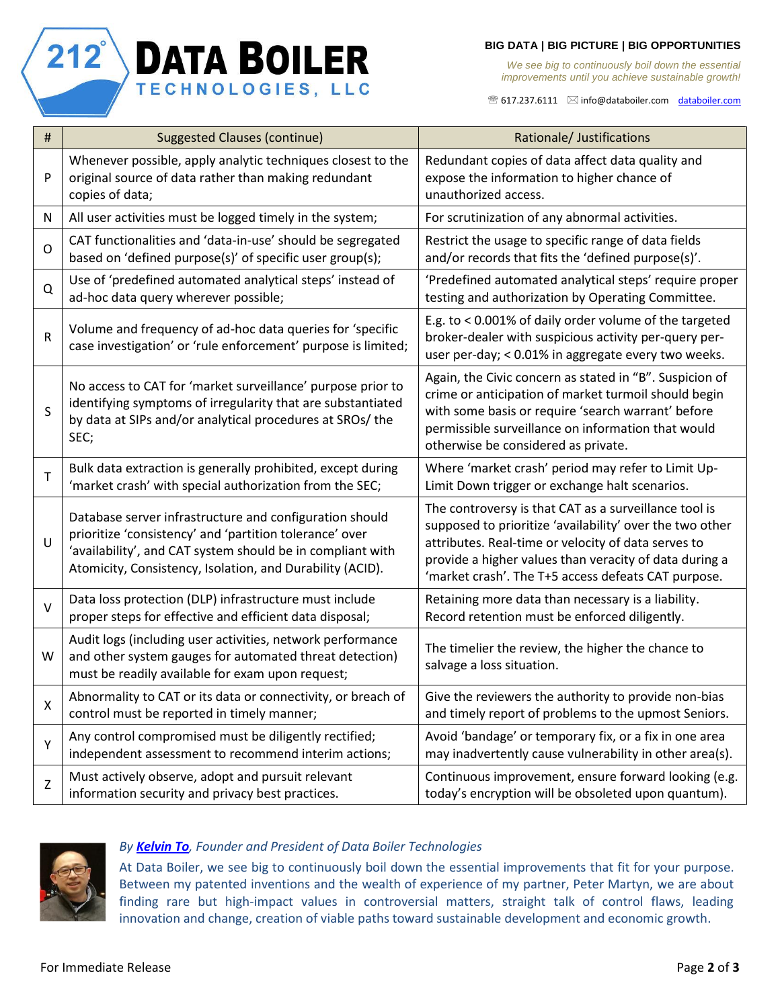## **BIG DATA | BIG PICTURE | BIG OPPORTUNITIES**

*We see big to continuously boil down the essential improvements until you achieve sustainable growth!*

 $\mathcal{F}$  617.237.6111  $\boxtimes$  [info@databoiler.com](mailto:info@databoiler.com) [databoiler.com](http://www.databoiler.com/)

| $\#$           | <b>Suggested Clauses (continue)</b>                                                                                                                                                                                                           | Rationale/ Justifications                                                                                                                                                                                                                                                                 |
|----------------|-----------------------------------------------------------------------------------------------------------------------------------------------------------------------------------------------------------------------------------------------|-------------------------------------------------------------------------------------------------------------------------------------------------------------------------------------------------------------------------------------------------------------------------------------------|
| P              | Whenever possible, apply analytic techniques closest to the<br>original source of data rather than making redundant<br>copies of data;                                                                                                        | Redundant copies of data affect data quality and<br>expose the information to higher chance of<br>unauthorized access.                                                                                                                                                                    |
| ${\sf N}$      | All user activities must be logged timely in the system;                                                                                                                                                                                      | For scrutinization of any abnormal activities.                                                                                                                                                                                                                                            |
| $\mathsf{O}$   | CAT functionalities and 'data-in-use' should be segregated<br>based on 'defined purpose(s)' of specific user group(s);                                                                                                                        | Restrict the usage to specific range of data fields<br>and/or records that fits the 'defined purpose(s)'.                                                                                                                                                                                 |
| Q              | Use of 'predefined automated analytical steps' instead of<br>ad-hoc data query wherever possible;                                                                                                                                             | 'Predefined automated analytical steps' require proper<br>testing and authorization by Operating Committee.                                                                                                                                                                               |
| R              | Volume and frequency of ad-hoc data queries for 'specific<br>case investigation' or 'rule enforcement' purpose is limited;                                                                                                                    | E.g. to < 0.001% of daily order volume of the targeted<br>broker-dealer with suspicious activity per-query per-<br>user per-day; < 0.01% in aggregate every two weeks.                                                                                                                    |
| S              | No access to CAT for 'market surveillance' purpose prior to<br>identifying symptoms of irregularity that are substantiated<br>by data at SIPs and/or analytical procedures at SROs/ the<br>SEC;                                               | Again, the Civic concern as stated in "B". Suspicion of<br>crime or anticipation of market turmoil should begin<br>with some basis or require 'search warrant' before<br>permissible surveillance on information that would<br>otherwise be considered as private.                        |
| T              | Bulk data extraction is generally prohibited, except during<br>'market crash' with special authorization from the SEC;                                                                                                                        | Where 'market crash' period may refer to Limit Up-<br>Limit Down trigger or exchange halt scenarios.                                                                                                                                                                                      |
| $\cup$         | Database server infrastructure and configuration should<br>prioritize 'consistency' and 'partition tolerance' over<br>'availability', and CAT system should be in compliant with<br>Atomicity, Consistency, Isolation, and Durability (ACID). | The controversy is that CAT as a surveillance tool is<br>supposed to prioritize 'availability' over the two other<br>attributes. Real-time or velocity of data serves to<br>provide a higher values than veracity of data during a<br>'market crash'. The T+5 access defeats CAT purpose. |
| $\vee$         | Data loss protection (DLP) infrastructure must include<br>proper steps for effective and efficient data disposal;                                                                                                                             | Retaining more data than necessary is a liability.<br>Record retention must be enforced diligently.                                                                                                                                                                                       |
| W              | Audit logs (including user activities, network performance<br>and other system gauges for automated threat detection)<br>must be readily available for exam upon request;                                                                     | The timelier the review, the higher the chance to<br>salvage a loss situation.                                                                                                                                                                                                            |
| $\pmb{\times}$ | Abnormality to CAT or its data or connectivity, or breach of<br>control must be reported in timely manner;                                                                                                                                    | Give the reviewers the authority to provide non-bias<br>and timely report of problems to the upmost Seniors.                                                                                                                                                                              |
| Υ              | Any control compromised must be diligently rectified;<br>independent assessment to recommend interim actions;                                                                                                                                 | Avoid 'bandage' or temporary fix, or a fix in one area<br>may inadvertently cause vulnerability in other area(s).                                                                                                                                                                         |
| $\mathsf Z$    | Must actively observe, adopt and pursuit relevant<br>information security and privacy best practices.                                                                                                                                         | Continuous improvement, ensure forward looking (e.g.<br>today's encryption will be obsoleted upon quantum).                                                                                                                                                                               |



 $212^{\circ}$ 

**DATA BOILER** 

TECHNOLOGIES, LLC

## *By [Kelvin To](https://www.linkedin.com/in/kelvin-to-9125955), Founder and President of Data Boiler Technologies*

At Data Boiler, we see big to continuously boil down the essential improvements that fit for your purpose. Between my patented inventions and the wealth of experience of my partner, Peter Martyn, we are about finding rare but high-impact values in controversial matters, straight talk of control flaws, leading innovation and change, creation of viable paths toward sustainable development and economic growth.